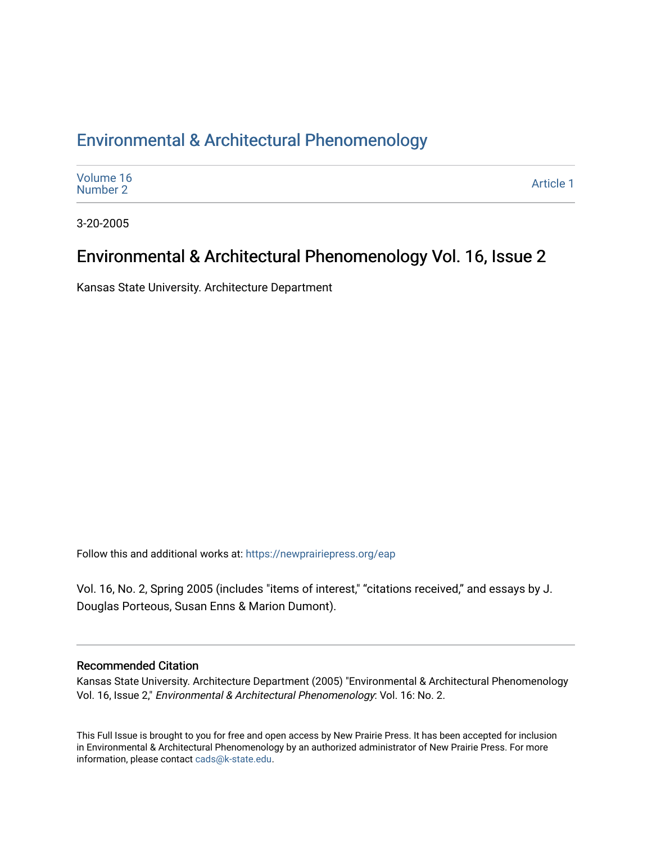#### [Environmental & Architectural Phenomenology](https://newprairiepress.org/eap)

| Volume 16<br>Number 2 | Article 1 |
|-----------------------|-----------|
|-----------------------|-----------|

3-20-2005

#### Environmental & Architectural Phenomenology Vol. 16, Issue 2

Kansas State University. Architecture Department

Follow this and additional works at: [https://newprairiepress.org/eap](https://newprairiepress.org/eap?utm_source=newprairiepress.org%2Feap%2Fvol16%2Fiss2%2F1&utm_medium=PDF&utm_campaign=PDFCoverPages) 

Vol. 16, No. 2, Spring 2005 (includes "items of interest," "citations received," and essays by J. Douglas Porteous, Susan Enns & Marion Dumont).

#### Recommended Citation

Kansas State University. Architecture Department (2005) "Environmental & Architectural Phenomenology Vol. 16, Issue 2," Environmental & Architectural Phenomenology: Vol. 16: No. 2.

This Full Issue is brought to you for free and open access by New Prairie Press. It has been accepted for inclusion in Environmental & Architectural Phenomenology by an authorized administrator of New Prairie Press. For more information, please contact [cads@k-state.edu](mailto:cads@k-state.edu).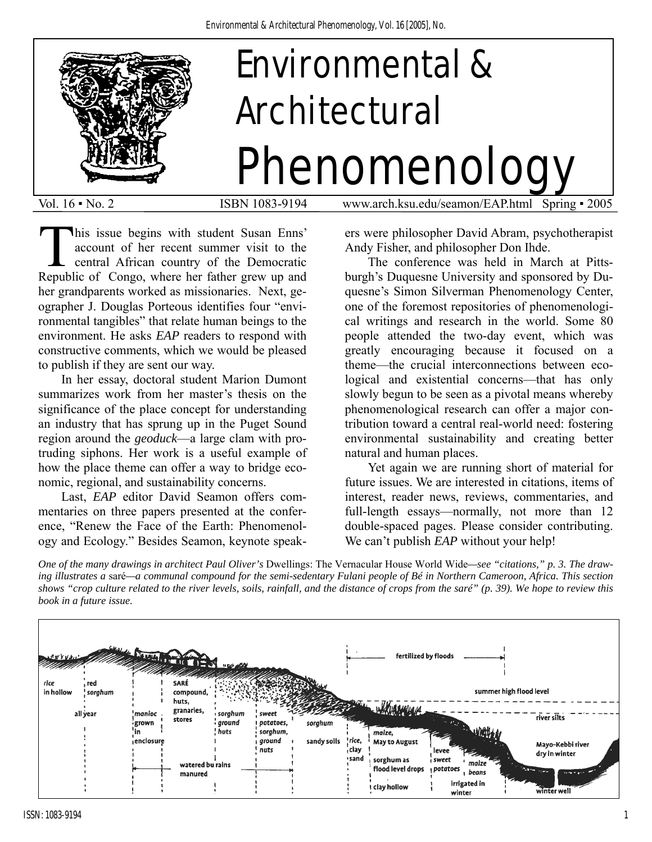

his issue begins with student Susan Enns' account of her recent summer visit to the central African country of the Democratic This issue begins with student Susan Enns' account of her recent summer visit to the central African country of the Democratic Republic of Congo, where her father grew up and her grandparents worked as missionaries. Next, geographer J. Douglas Porteous identifies four "environmental tangibles" that relate human beings to the environment. He asks *EAP* readers to respond with constructive comments, which we would be pleased to publish if they are sent our way.

 In her essay, doctoral student Marion Dumont summarizes work from her master's thesis on the significance of the place concept for understanding an industry that has sprung up in the Puget Sound region around the *geoduck*—a large clam with protruding siphons. Her work is a useful example of how the place theme can offer a way to bridge economic, regional, and sustainability concerns.

 Last, *EAP* editor David Seamon offers commentaries on three papers presented at the conference, "Renew the Face of the Earth: Phenomenology and Ecology." Besides Seamon, keynote speakers were philosopher David Abram, psychotherapist Andy Fisher, and philosopher Don Ihde.

The conference was held in March at Pittsburgh's Duquesne University and sponsored by Duquesne's Simon Silverman Phenomenology Center, one of the foremost repositories of phenomenological writings and research in the world. Some 80 people attended the two-day event, which was greatly encouraging because it focused on a theme—the crucial interconnections between ecological and existential concerns—that has only slowly begun to be seen as a pivotal means whereby phenomenological research can offer a major contribution toward a central real-world need: fostering environmental sustainability and creating better natural and human places.

Yet again we are running short of material for future issues. We are interested in citations, items of interest, reader news, reviews, commentaries, and full-length essays—normally, not more than 12 double-spaced pages. Please consider contributing. We can't publish *EAP* without your help!

*One of the many drawings in architect Paul Oliver's* Dwellings: The Vernacular House World Wide*—see "citations," p. 3. The drawing illustrates a* saré*—a communal compound for the semi-sedentary Fulani people of Bé in Northern Cameroon, Africa. This section shows "crop culture related to the river levels, soils, rainfall, and the distance of crops from the saré" (p. 39). We hope to review this book in a future issue.* 

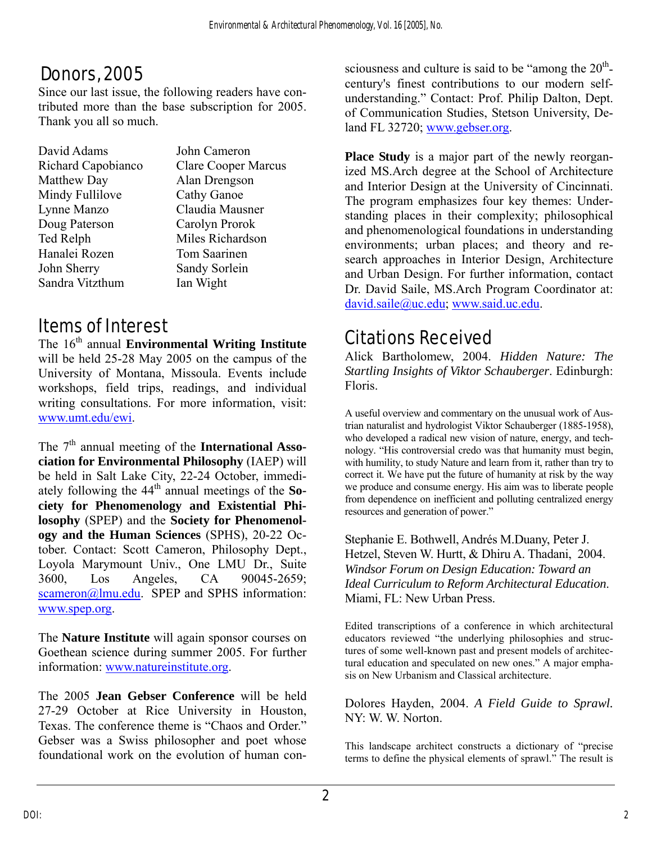## Donors, 2005

Since our last issue, the following readers have contributed more than the base subscription for 2005. Thank you all so much.

| David Adams        | John Cameron               |
|--------------------|----------------------------|
| Richard Capobianco | <b>Clare Cooper Marcus</b> |
| Matthew Day        | Alan Drengson              |
| Mindy Fullilove    | <b>Cathy Ganoe</b>         |
| Lynne Manzo        | Claudia Mausner            |
| Doug Paterson      | Carolyn Prorok             |
| Ted Relph          | Miles Richardson           |
| Hanalei Rozen      | Tom Saarinen               |
| John Sherry        | Sandy Sorlein              |
| Sandra Vitzthum    | Ian Wight                  |

## Items of Interest

The 16<sup>th</sup> annual **Environmental Writing Institute** will be held 25-28 May 2005 on the campus of the University of Montana, Missoula. Events include workshops, field trips, readings, and individual writing consultations. For more information, visit: [www.umt.edu/ewi.](http://www.umt.edu/ewi)

The 7<sup>th</sup> annual meeting of the **International Association for Environmental Philosophy** (IAEP) will be held in Salt Lake City, 22-24 October, immediately following the  $44<sup>th</sup>$  annual meetings of the **Society for Phenomenology and Existential Philosophy** (SPEP) and the **Society for Phenomenology and the Human Sciences** (SPHS), 20-22 October. Contact: Scott Cameron, Philosophy Dept., Loyola Marymount Univ., One LMU Dr., Suite 3600, Los Angeles, CA 90045-2659; [scameron@lmu.edu](mailto:scameron@lmu.edu). SPEP and SPHS information: [www.spep.org](http://www.spep.org/).

The **Nature Institute** will again sponsor courses on Goethean science during summer 2005. For further information: [www.natureinstitute.org.](http://www.natureinstitute.org/)

The 2005 **Jean Gebser Conference** will be held 27-29 October at Rice University in Houston, Texas. The conference theme is "Chaos and Order." Gebser was a Swiss philosopher and poet whose foundational work on the evolution of human consciousness and culture is said to be "among the  $20<sup>th</sup>$ century's finest contributions to our modern selfunderstanding." Contact: Prof. Philip Dalton, Dept. of Communication Studies, Stetson University, Deland FL 32720; [www.gebser.org](http://www.gebser.org/).

**Place Study** is a major part of the newly reorganized MS.Arch degree at the School of Architecture and Interior Design at the University of Cincinnati. The program emphasizes four key themes: Understanding places in their complexity; philosophical and phenomenological foundations in understanding environments; urban places; and theory and research approaches in Interior Design, Architecture and Urban Design. For further information, contact Dr. David Saile, MS.Arch Program Coordinator at: [david.saile@uc.edu](mailto:david.saile@uc.edu); [www.said.uc.edu.](http://www.said.uc.edu/)

## Citations Received

Alick Bartholomew, 2004. *Hidden Nature: The Startling Insights of Viktor Schauberger*. Edinburgh: Floris.

A useful overview and commentary on the unusual work of Austrian naturalist and hydrologist Viktor Schauberger (1885-1958), who developed a radical new vision of nature, energy, and technology. "His controversial credo was that humanity must begin, with humility, to study Nature and learn from it, rather than try to correct it. We have put the future of humanity at risk by the way we produce and consume energy. His aim was to liberate people from dependence on inefficient and polluting centralized energy resources and generation of power."

Stephanie E. Bothwell, Andrés M.Duany, Peter J. Hetzel, Steven W. Hurtt, & Dhiru A. Thadani, 2004. *Windsor Forum on Design Education: Toward an Ideal Curriculum to Reform Architectural Education*. Miami, FL: New Urban Press.

Edited transcriptions of a conference in which architectural educators reviewed "the underlying philosophies and structures of some well-known past and present models of architectural education and speculated on new ones." A major emphasis on New Urbanism and Classical architecture.

Dolores Hayden, 2004. *A Field Guide to Sprawl.* NY: W. W. Norton.

This landscape architect constructs a dictionary of "precise terms to define the physical elements of sprawl." The result is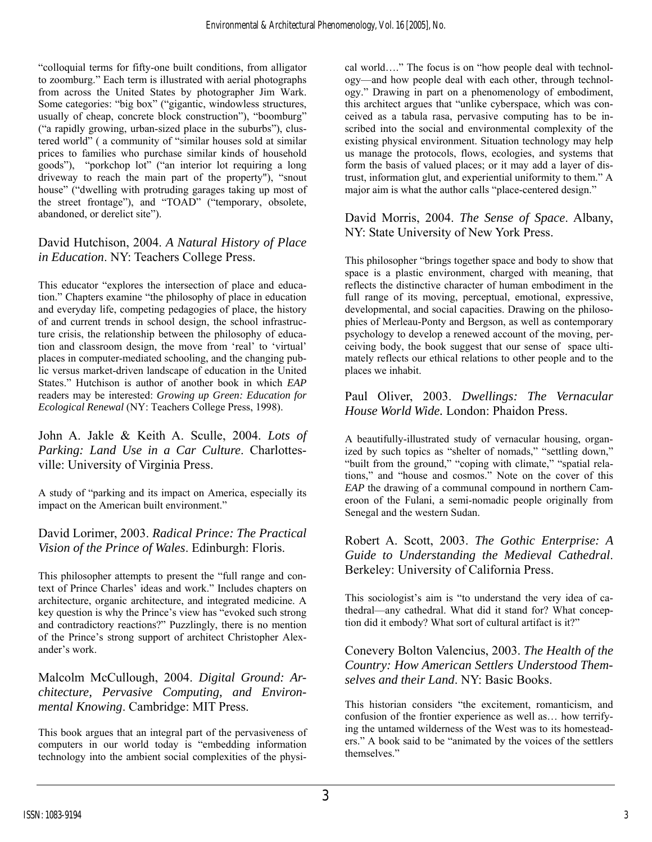"colloquial terms for fifty-one built conditions, from alligator to zoomburg." Each term is illustrated with aerial photographs from across the United States by photographer Jim Wark. Some categories: "big box" ("gigantic, windowless structures, usually of cheap, concrete block construction"), "boomburg" ("a rapidly growing, urban-sized place in the suburbs"), clustered world" ( a community of "similar houses sold at similar prices to families who purchase similar kinds of household goods"), "porkchop lot" ("an interior lot requiring a long driveway to reach the main part of the property"), "snout house" ("dwelling with protruding garages taking up most of the street frontage"), and "TOAD" ("temporary, obsolete, abandoned, or derelict site").

#### David Hutchison, 2004. *A Natural History of Place in Education*. NY: Teachers College Press.

This educator "explores the intersection of place and education." Chapters examine "the philosophy of place in education and everyday life, competing pedagogies of place, the history of and current trends in school design, the school infrastructure crisis, the relationship between the philosophy of education and classroom design, the move from 'real' to 'virtual' places in computer-mediated schooling, and the changing public versus market-driven landscape of education in the United States." Hutchison is author of another book in which *EAP* readers may be interested: *Growing up Green: Education for Ecological Renewal* (NY: Teachers College Press, 1998).

John A. Jakle & Keith A. Sculle, 2004. *Lots of Parking: Land Use in a Car Culture*. Charlottesville: University of Virginia Press.

A study of "parking and its impact on America, especially its impact on the American built environment."

David Lorimer, 2003. *Radical Prince: The Practical Vision of the Prince of Wales*. Edinburgh: Floris.

This philosopher attempts to present the "full range and context of Prince Charles' ideas and work." Includes chapters on architecture, organic architecture, and integrated medicine. A key question is why the Prince's view has "evoked such strong and contradictory reactions?" Puzzlingly, there is no mention of the Prince's strong support of architect Christopher Alexander's work.

Malcolm McCullough, 2004. *Digital Ground: Architecture, Pervasive Computing, and Environmental Knowing*. Cambridge: MIT Press.

This book argues that an integral part of the pervasiveness of computers in our world today is "embedding information technology into the ambient social complexities of the physi-

cal world…." The focus is on "how people deal with technology—and how people deal with each other, through technology." Drawing in part on a phenomenology of embodiment, this architect argues that "unlike cyberspace, which was conceived as a tabula rasa, pervasive computing has to be inscribed into the social and environmental complexity of the existing physical environment. Situation technology may help us manage the protocols, flows, ecologies, and systems that form the basis of valued places; or it may add a layer of distrust, information glut, and experiential uniformity to them." A major aim is what the author calls "place-centered design."

David Morris, 2004. *The Sense of Space*. Albany, NY: State University of New York Press.

This philosopher "brings together space and body to show that space is a plastic environment, charged with meaning, that reflects the distinctive character of human embodiment in the full range of its moving, perceptual, emotional, expressive, developmental, and social capacities. Drawing on the philosophies of Merleau-Ponty and Bergson, as well as contemporary psychology to develop a renewed account of the moving, perceiving body, the book suggest that our sense of space ultimately reflects our ethical relations to other people and to the places we inhabit.

Paul Oliver, 2003. *Dwellings: The Vernacular House World Wide.* London: Phaidon Press.

A beautifully-illustrated study of vernacular housing, organized by such topics as "shelter of nomads," "settling down," "built from the ground," "coping with climate," "spatial relations," and "house and cosmos." Note on the cover of this *EAP* the drawing of a communal compound in northern Cameroon of the Fulani, a semi-nomadic people originally from Senegal and the western Sudan.

Robert A. Scott, 2003. *The Gothic Enterprise: A Guide to Understanding the Medieval Cathedral*. Berkeley: University of California Press.

This sociologist's aim is "to understand the very idea of cathedral—any cathedral. What did it stand for? What conception did it embody? What sort of cultural artifact is it?"

Conevery Bolton Valencius, 2003. *The Health of the Country: How American Settlers Understood Themselves and their Land*. NY: Basic Books.

This historian considers "the excitement, romanticism, and confusion of the frontier experience as well as… how terrifying the untamed wilderness of the West was to its homesteaders." A book said to be "animated by the voices of the settlers themselves."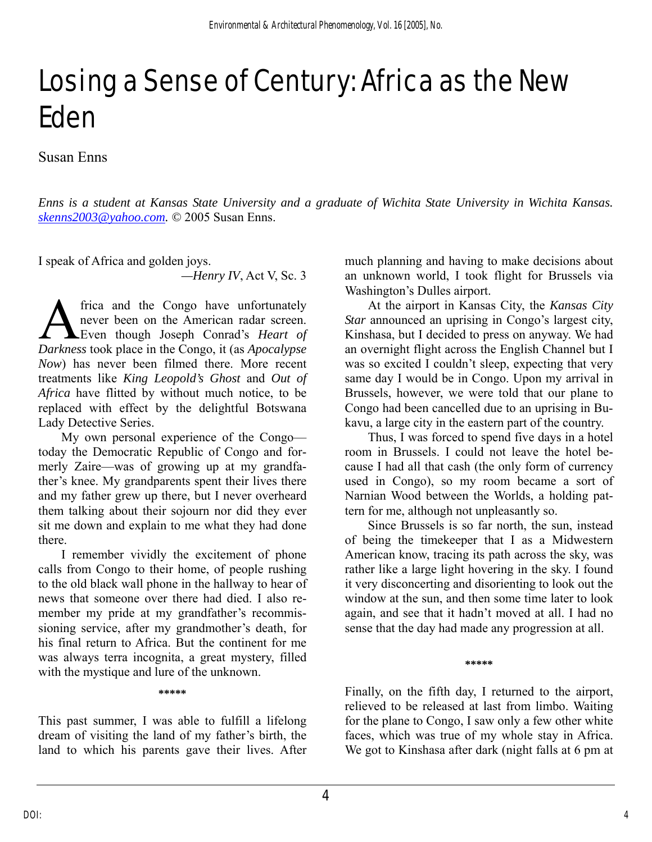## Losing a Sense of Century: Africa as the New Eden

Susan Enns

*Enns is a student at Kansas State University and a graduate of Wichita State University in Wichita Kansas. [skenns2003@yahoo.com](mailto:skenns2003@yahoo.com). ©* 2005 Susan Enns.

I speak of Africa and golden joys.

*—Henry IV*, Act V, Sc. 3

frica and the Congo have unfortunately never been on the American radar screen. Even though Joseph Conrad's *Heart of*  **A** frica and the Congo have unfortunately never been on the American radar screen.<br>Even though Joseph Conrad's *Heart of* Darkness took place in the Congo, it (as *Apocalypse Now*) has never been filmed there. More recent treatments like *King Leopold's Ghost* and *Out of Africa* have flitted by without much notice, to be replaced with effect by the delightful Botswana Lady Detective Series.

My own personal experience of the Congo today the Democratic Republic of Congo and formerly Zaire—was of growing up at my grandfather's knee. My grandparents spent their lives there and my father grew up there, but I never overheard them talking about their sojourn nor did they ever sit me down and explain to me what they had done there.

I remember vividly the excitement of phone calls from Congo to their home, of people rushing to the old black wall phone in the hallway to hear of news that someone over there had died. I also remember my pride at my grandfather's recommissioning service, after my grandmother's death, for his final return to Africa. But the continent for me was always terra incognita, a great mystery, filled with the mystique and lure of the unknown.

#### **\*\*\*\*\***

This past summer, I was able to fulfill a lifelong dream of visiting the land of my father's birth, the land to which his parents gave their lives. After much planning and having to make decisions about an unknown world, I took flight for Brussels via Washington's Dulles airport.

At the airport in Kansas City, the *Kansas City Star* announced an uprising in Congo's largest city, Kinshasa, but I decided to press on anyway. We had an overnight flight across the English Channel but I was so excited I couldn't sleep, expecting that very same day I would be in Congo. Upon my arrival in Brussels, however, we were told that our plane to Congo had been cancelled due to an uprising in Bukavu, a large city in the eastern part of the country.

 Thus, I was forced to spend five days in a hotel room in Brussels. I could not leave the hotel because I had all that cash (the only form of currency used in Congo), so my room became a sort of Narnian Wood between the Worlds, a holding pattern for me, although not unpleasantly so.

Since Brussels is so far north, the sun, instead of being the timekeeper that I as a Midwestern American know, tracing its path across the sky, was rather like a large light hovering in the sky. I found it very disconcerting and disorienting to look out the window at the sun, and then some time later to look again, and see that it hadn't moved at all. I had no sense that the day had made any progression at all.

**\*\*\*\*\*** 

Finally, on the fifth day, I returned to the airport, relieved to be released at last from limbo. Waiting for the plane to Congo, I saw only a few other white faces, which was true of my whole stay in Africa. We got to Kinshasa after dark (night falls at 6 pm at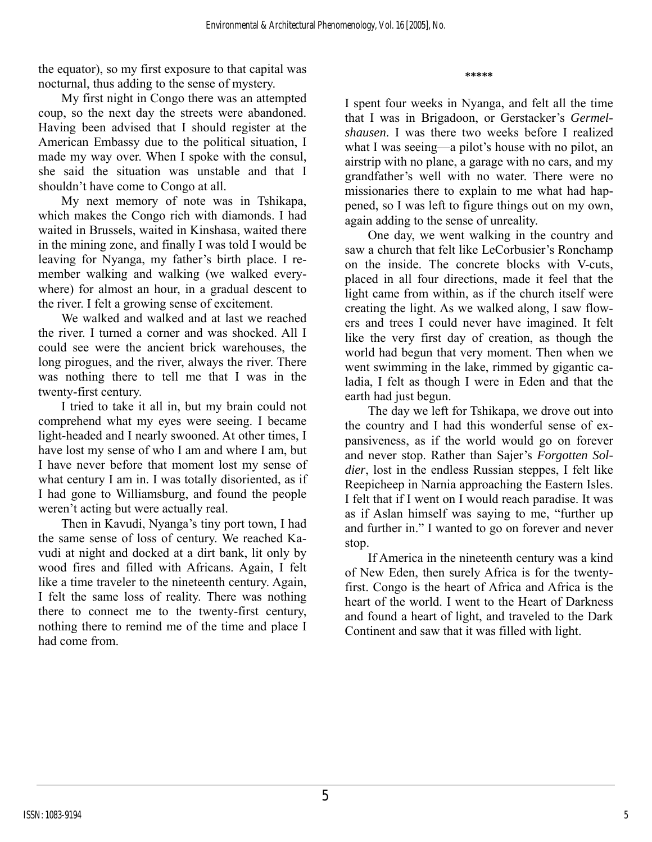the equator), so my first exposure to that capital was nocturnal, thus adding to the sense of mystery.

My first night in Congo there was an attempted coup, so the next day the streets were abandoned. Having been advised that I should register at the American Embassy due to the political situation, I made my way over. When I spoke with the consul, she said the situation was unstable and that I shouldn't have come to Congo at all.

My next memory of note was in Tshikapa, which makes the Congo rich with diamonds. I had waited in Brussels, waited in Kinshasa, waited there in the mining zone, and finally I was told I would be leaving for Nyanga, my father's birth place. I remember walking and walking (we walked everywhere) for almost an hour, in a gradual descent to the river. I felt a growing sense of excitement.

We walked and walked and at last we reached the river. I turned a corner and was shocked. All I could see were the ancient brick warehouses, the long pirogues, and the river, always the river. There was nothing there to tell me that I was in the twenty-first century.

I tried to take it all in, but my brain could not comprehend what my eyes were seeing. I became light-headed and I nearly swooned. At other times, I have lost my sense of who I am and where I am, but I have never before that moment lost my sense of what century I am in. I was totally disoriented, as if I had gone to Williamsburg, and found the people weren't acting but were actually real.

 Then in Kavudi, Nyanga's tiny port town, I had the same sense of loss of century. We reached Kavudi at night and docked at a dirt bank, lit only by wood fires and filled with Africans. Again, I felt like a time traveler to the nineteenth century. Again, I felt the same loss of reality. There was nothing there to connect me to the twenty-first century, nothing there to remind me of the time and place I had come from.

I spent four weeks in Nyanga, and felt all the time that I was in Brigadoon, or Gerstacker's *Germelshausen*. I was there two weeks before I realized what I was seeing—a pilot's house with no pilot, an airstrip with no plane, a garage with no cars, and my grandfather's well with no water. There were no missionaries there to explain to me what had happened, so I was left to figure things out on my own, again adding to the sense of unreality.

**\*\*\*\*\*** 

 One day, we went walking in the country and saw a church that felt like LeCorbusier's Ronchamp on the inside. The concrete blocks with V-cuts, placed in all four directions, made it feel that the light came from within, as if the church itself were creating the light. As we walked along, I saw flowers and trees I could never have imagined. It felt like the very first day of creation, as though the world had begun that very moment. Then when we went swimming in the lake, rimmed by gigantic caladia, I felt as though I were in Eden and that the earth had just begun.

 The day we left for Tshikapa, we drove out into the country and I had this wonderful sense of expansiveness, as if the world would go on forever and never stop. Rather than Sajer's *Forgotten Soldier*, lost in the endless Russian steppes, I felt like Reepicheep in Narnia approaching the Eastern Isles. I felt that if I went on I would reach paradise. It was as if Aslan himself was saying to me, "further up and further in." I wanted to go on forever and never stop.

 If America in the nineteenth century was a kind of New Eden, then surely Africa is for the twentyfirst. Congo is the heart of Africa and Africa is the heart of the world. I went to the Heart of Darkness and found a heart of light, and traveled to the Dark Continent and saw that it was filled with light.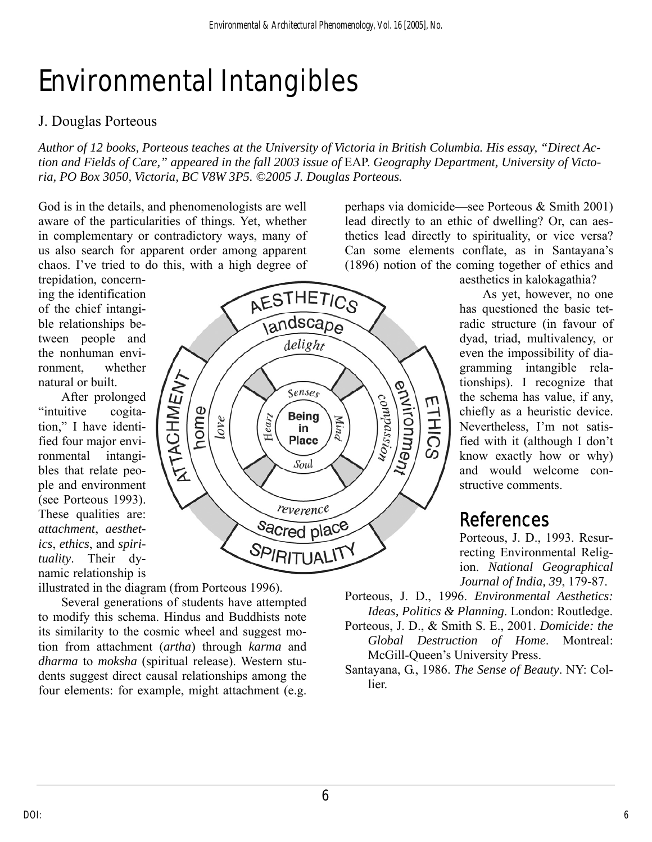# Environmental Intangibles

### J. Douglas Porteous

*Author of 12 books, Porteous teaches at the University of Victoria in British Columbia. His essay, "Direct Action and Fields of Care," appeared in the fall 2003 issue of* EAP. *Geography Department, University of Victoria, PO Box 3050, Victoria, BC V8W 3P5. ©2005 J. Douglas Porteous.* 

God is in the details, and phenomenologists are well aware of the particularities of things. Yet, whether in complementary or contradictory ways, many of us also search for apparent order among apparent chaos. I've tried to do this, with a high degree of

natural or built. trepidation, concerning the identification of the chief intangible relationships between people and the nonhuman environment, whether

After prolonged "intuitive cogitation," I have identified four major environmental intangibles that relate people and environment (see Porteous 1993). These qualities are: *attachment*, *aesthetics*, *ethics*, and *spirituality*. Their dynamic relationship is



illustrated in the diagram (from Porteous 1996).

Several generations of students have attempted to modify this schema. Hindus and Buddhists note its similarity to the cosmic wheel and suggest motion from attachment (*artha*) through *karma* and *dharma* to *moksha* (spiritual release). Western students suggest direct causal relationships among the four elements: for example, might attachment (e.g.

perhaps via domicide—see Porteous & Smith 2001) lead directly to an ethic of dwelling? Or, can aesthetics lead directly to spirituality, or vice versa? Can some elements conflate, as in Santayana's (1896) notion of the coming together of ethics and

> structive comments. aesthetics in kalokagathia? As yet, however, no one has questioned the basic tetradic structure (in favour of dyad, triad, multivalency, or even the impossibility of diagramming intangible relationships). I recognize that the schema has value, if any, chiefly as a heuristic device. Nevertheless, I'm not satisfied with it (although I don't know exactly how or why) and would welcome con-

## References

*dia, 39*, 179-87. *Journal of In* Porteous, J. D., 1993. Resurrecting Environmental Religion. *National Geographical* 

Porteous, J. D., 1996. *Environmental Aesthetics: Ideas, Politics & Planning*. London: Routledge.

- Porteous, J. D., & Smith S. E., 2001. *Domicide: the Global Destruction of Home*. Montreal: McGill-Queen's University Press.
- Santayana, G., 1986. *The Sense of Beauty*. NY: Collier.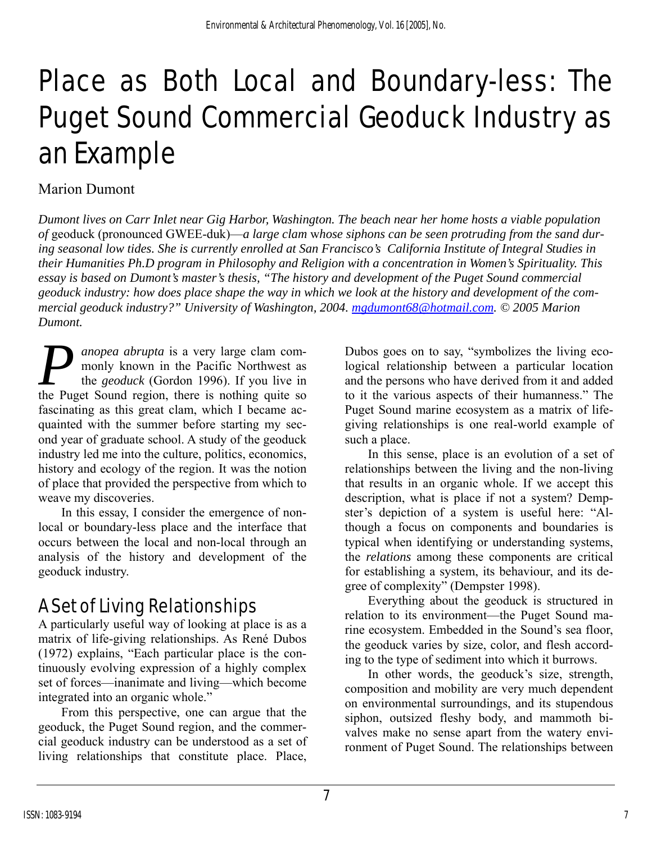# Place as Both Local and Boundary-less: The Puget Sound Commercial Geoduck Industry as an Example

#### Marion Dumont

*Dumont lives on Carr Inlet near Gig Harbor, Washington. The beach near her home hosts a viable population of* geoduck (pronounced GWEE-duk)—*a large clam* w*hose siphons can be seen protruding from the sand during seasonal low tides. She is currently enrolled at San Francisco's California Institute of Integral Studies in their Humanities Ph.D program in Philosophy and Religion with a concentration in Women's Spirituality. This essay is based on Dumont's master's thesis, "The history and development of the Puget Sound commercial geoduck industry: how does place shape the way in which we look at the history and development of the commercial geoduck industry?" University of Washington, 2004. [mgdumont68@hotmail.com.](mailto:mgdumont68@hotmail.com) © 2005 Marion Dumont.* 

*anopea abrupta* is a very large clam commonly known in the Pacific Northwest as the *geoduck* (Gordon 1996). If you live in **P** anopea abrupta is a very large clam commonly known in the Pacific Northwest as the *geoduck* (Gordon 1996). If you live in the Puget Sound region, there is nothing quite so fascinating as this great clam, which I became acquainted with the summer before starting my second year of graduate school. A study of the geoduck industry led me into the culture, politics, economics, history and ecology of the region. It was the notion of place that provided the perspective from which to weave my discoveries.

In this essay, I consider the emergence of nonlocal or boundary-less place and the interface that occurs between the local and non-local through an analysis of the history and development of the geoduck industry.

## A Set of Living Relationships

A particularly useful way of looking at place is as a matrix of life-giving relationships. As René Dubos (1972) explains, "Each particular place is the continuously evolving expression of a highly complex set of forces—inanimate and living—which become integrated into an organic whole."

From this perspective, one can argue that the geoduck, the Puget Sound region, and the commercial geoduck industry can be understood as a set of living relationships that constitute place. Place,

Dubos goes on to say, "symbolizes the living ecological relationship between a particular location and the persons who have derived from it and added to it the various aspects of their humanness." The Puget Sound marine ecosystem as a matrix of lifegiving relationships is one real-world example of such a place.

In this sense, place is an evolution of a set of relationships between the living and the non-living that results in an organic whole. If we accept this description, what is place if not a system? Dempster's depiction of a system is useful here: "Although a focus on components and boundaries is typical when identifying or understanding systems, the *relations* among these components are critical for establishing a system, its behaviour, and its degree of complexity" (Dempster 1998).

Everything about the geoduck is structured in relation to its environment—the Puget Sound marine ecosystem. Embedded in the Sound's sea floor, the geoduck varies by size, color, and flesh according to the type of sediment into which it burrows.

In other words, the geoduck's size, strength, composition and mobility are very much dependent on environmental surroundings, and its stupendous siphon, outsized fleshy body, and mammoth bivalves make no sense apart from the watery environment of Puget Sound. The relationships between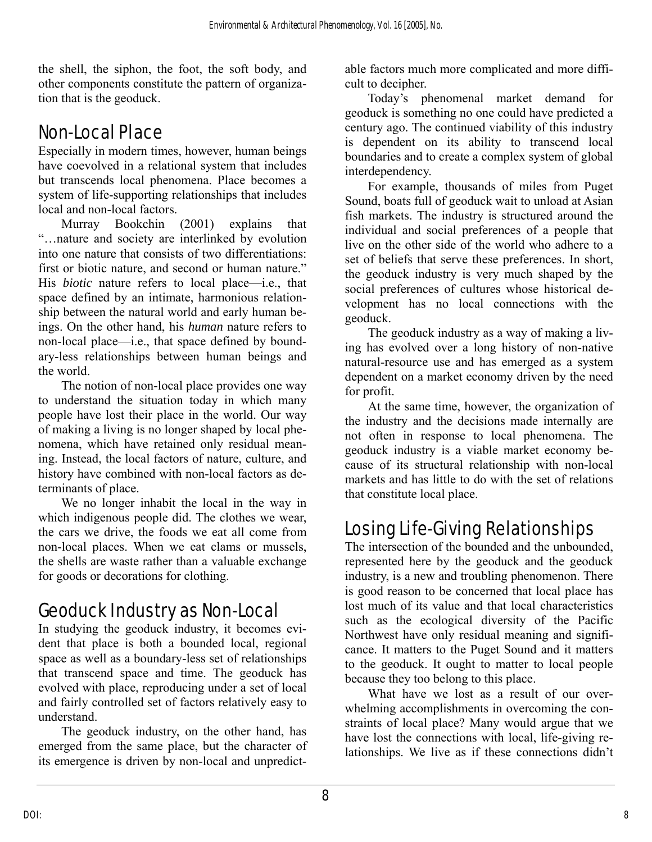the shell, the siphon, the foot, the soft body, and other components constitute the pattern of organization that is the geoduck.

## Non-Local Place

Especially in modern times, however, human beings have coevolved in a relational system that includes but transcends local phenomena. Place becomes a system of life-supporting relationships that includes local and non-local factors.

Murray Bookchin (2001) explains that "…nature and society are interlinked by evolution into one nature that consists of two differentiations: first or biotic nature, and second or human nature." His *biotic* nature refers to local place—i.e., that space defined by an intimate, harmonious relationship between the natural world and early human beings. On the other hand, his *human* nature refers to non-local place—i.e., that space defined by boundary-less relationships between human beings and the world.

The notion of non-local place provides one way to understand the situation today in which many people have lost their place in the world. Our way of making a living is no longer shaped by local phenomena, which have retained only residual meaning. Instead, the local factors of nature, culture, and history have combined with non-local factors as determinants of place.

We no longer inhabit the local in the way in which indigenous people did. The clothes we wear, the cars we drive, the foods we eat all come from non-local places. When we eat clams or mussels, the shells are waste rather than a valuable exchange for goods or decorations for clothing.

## Geoduck Industry as Non-Local

In studying the geoduck industry, it becomes evident that place is both a bounded local, regional space as well as a boundary-less set of relationships that transcend space and time. The geoduck has evolved with place, reproducing under a set of local and fairly controlled set of factors relatively easy to understand.

The geoduck industry, on the other hand, has emerged from the same place, but the character of its emergence is driven by non-local and unpredictable factors much more complicated and more difficult to decipher.

Today's phenomenal market demand for geoduck is something no one could have predicted a century ago. The continued viability of this industry is dependent on its ability to transcend local boundaries and to create a complex system of global interdependency.

For example, thousands of miles from Puget Sound, boats full of geoduck wait to unload at Asian fish markets. The industry is structured around the individual and social preferences of a people that live on the other side of the world who adhere to a set of beliefs that serve these preferences. In short, the geoduck industry is very much shaped by the social preferences of cultures whose historical development has no local connections with the geoduck.

The geoduck industry as a way of making a living has evolved over a long history of non-native natural-resource use and has emerged as a system dependent on a market economy driven by the need for profit.

At the same time, however, the organization of the industry and the decisions made internally are not often in response to local phenomena. The geoduck industry is a viable market economy because of its structural relationship with non-local markets and has little to do with the set of relations that constitute local place.

## Losing Life-Giving Relationships

The intersection of the bounded and the unbounded, represented here by the geoduck and the geoduck industry, is a new and troubling phenomenon. There is good reason to be concerned that local place has lost much of its value and that local characteristics such as the ecological diversity of the Pacific Northwest have only residual meaning and significance. It matters to the Puget Sound and it matters to the geoduck. It ought to matter to local people because they too belong to this place.

What have we lost as a result of our overwhelming accomplishments in overcoming the constraints of local place? Many would argue that we have lost the connections with local, life-giving relationships. We live as if these connections didn't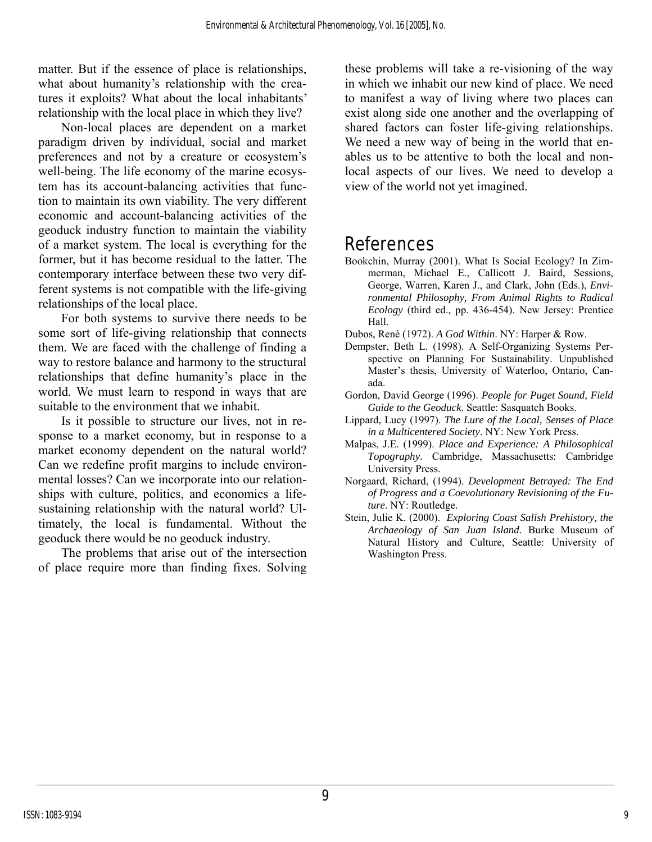matter. But if the essence of place is relationships, what about humanity's relationship with the creatures it exploits? What about the local inhabitants' relationship with the local place in which they live?

Non-local places are dependent on a market paradigm driven by individual, social and market preferences and not by a creature or ecosystem's well-being. The life economy of the marine ecosystem has its account-balancing activities that function to maintain its own viability. The very different economic and account-balancing activities of the geoduck industry function to maintain the viability of a market system. The local is everything for the former, but it has become residual to the latter. The contemporary interface between these two very different systems is not compatible with the life-giving relationships of the local place.

For both systems to survive there needs to be some sort of life-giving relationship that connects them. We are faced with the challenge of finding a way to restore balance and harmony to the structural relationships that define humanity's place in the world. We must learn to respond in ways that are suitable to the environment that we inhabit.

Is it possible to structure our lives, not in response to a market economy, but in response to a market economy dependent on the natural world? Can we redefine profit margins to include environmental losses? Can we incorporate into our relationships with culture, politics, and economics a lifesustaining relationship with the natural world? Ultimately, the local is fundamental. Without the geoduck there would be no geoduck industry.

The problems that arise out of the intersection of place require more than finding fixes. Solving these problems will take a re-visioning of the way in which we inhabit our new kind of place. We need to manifest a way of living where two places can exist along side one another and the overlapping of shared factors can foster life-giving relationships. We need a new way of being in the world that enables us to be attentive to both the local and nonlocal aspects of our lives. We need to develop a view of the world not yet imagined.

### References

- Bookchin, Murray (2001). What Is Social Ecology? In Zimmerman, Michael E., Callicott J. Baird, Sessions, George, Warren, Karen J., and Clark, John (Eds.), *Environmental Philosophy, From Animal Rights to Radical Ecology* (third ed., pp. 436-454). New Jersey: Prentice Hall.
- Dubos, René (1972). *A God Within*. NY: Harper & Row.
- Dempster, Beth L. (1998). A Self-Organizing Systems Perspective on Planning For Sustainability. Unpublished Master's thesis, University of Waterloo, Ontario, Canada.
- Gordon, David George (1996). *People for Puget Sound, Field Guide to the Geoduck*. Seattle: Sasquatch Books.
- Lippard, Lucy (1997). *The Lure of the Local, Senses of Place in a Multicentered Society*. NY: New York Press.
- Malpas, J.E. (1999). *Place and Experience: A Philosophical Topography*. Cambridge, Massachusetts: Cambridge University Press.
- Norgaard, Richard, (1994). *Development Betrayed: The End of Progress and a Coevolutionary Revisioning of the Future*. NY: Routledge.
- Stein, Julie K. (2000). *Exploring Coast Salish Prehistory, the Archaeology of San Juan Island.* Burke Museum of Natural History and Culture, Seattle: University of Washington Press.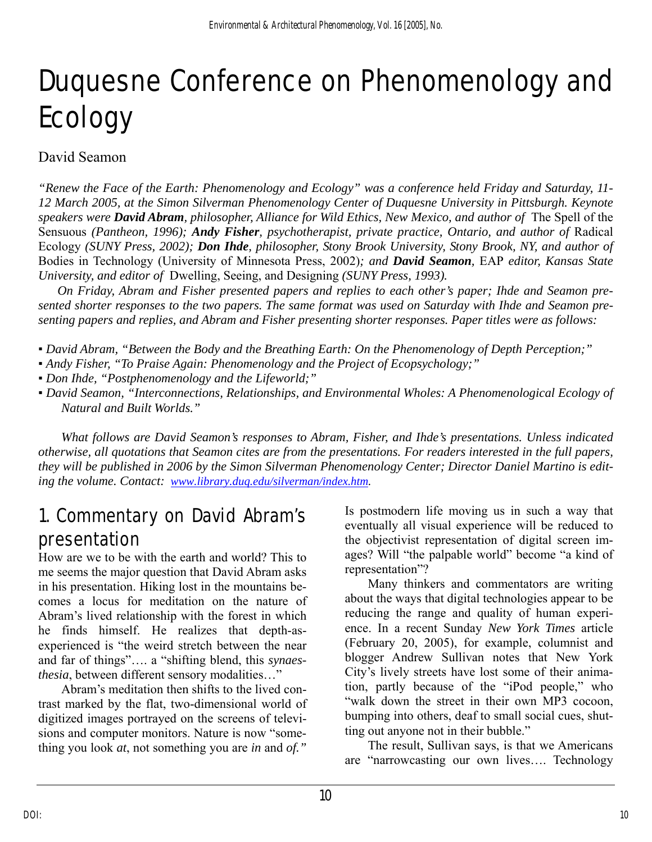# Duquesne Conference on Phenomenology and Ecology

#### David Seamon

*"Renew the Face of the Earth: Phenomenology and Ecology" was a conference held Friday and Saturday, 11- 12 March 2005, at the Simon Silverman Phenomenology Center of Duquesne University in Pittsburgh. Keynote speakers were David Abram, philosopher, Alliance for Wild Ethics, New Mexico, and author of* The Spell of the Sensuous *(Pantheon, 1996); Andy Fisher, psychotherapist, private practice, Ontario, and author of* Radical Ecology *(SUNY Press, 2002); Don Ihde, philosopher, Stony Brook University, Stony Brook, NY, and author of*  Bodies in Technology (University of Minnesota Press, 2002)*; and David Seamon,* EAP *editor, Kansas State University, and editor of* Dwelling, Seeing, and Designing *(SUNY Press, 1993).* 

*On Friday, Abram and Fisher presented papers and replies to each other's paper; Ihde and Seamon presented shorter responses to the two papers. The same format was used on Saturday with Ihde and Seamon presenting papers and replies, and Abram and Fisher presenting shorter responses. Paper titles were as follows:* 

- *David Abram, "Between the Body and the Breathing Earth: On the Phenomenology of Depth Perception;"*
- *Andy Fisher, "To Praise Again: Phenomenology and the Project of Ecopsychology;"*
- *Don Ihde, "Postphenomenology and the Lifeworld;"*
- *David Seamon, "Interconnections, Relationships, and Environmental Wholes: A Phenomenological Ecology of Natural and Built Worlds."*

*What follows are David Seamon's responses to Abram, Fisher, and Ihde's presentations. Unless indicated otherwise, all quotations that Seamon cites are from the presentations. For readers interested in the full papers, they will be published in 2006 by the Simon Silverman Phenomenology Center; Director Daniel Martino is editing the volume. Contact: [www.library.duq.edu/silverman/index.htm](http://www.library.duq.edu/silverman/index.htm).* 

### 1. Commentary on David Abram's presentation

How are we to be with the earth and world? This to me seems the major question that David Abram asks in his presentation. Hiking lost in the mountains becomes a locus for meditation on the nature of Abram's lived relationship with the forest in which he finds himself. He realizes that depth-asexperienced is "the weird stretch between the near and far of things"…. a "shifting blend, this *synaesthesia*, between different sensory modalities…"

Abram's meditation then shifts to the lived contrast marked by the flat, two-dimensional world of digitized images portrayed on the screens of televisions and computer monitors. Nature is now "something you look *at*, not something you are *in* and *of."*

Is postmodern life moving us in such a way that eventually all visual experience will be reduced to the objectivist representation of digital screen images? Will "the palpable world" become "a kind of representation"?

Many thinkers and commentators are writing about the ways that digital technologies appear to be reducing the range and quality of human experience. In a recent Sunday *New York Times* article (February 20, 2005), for example, columnist and blogger Andrew Sullivan notes that New York City's lively streets have lost some of their animation, partly because of the "iPod people," who "walk down the street in their own MP3 cocoon, bumping into others, deaf to small social cues, shutting out anyone not in their bubble."

The result, Sullivan says, is that we Americans are "narrowcasting our own lives…. Technology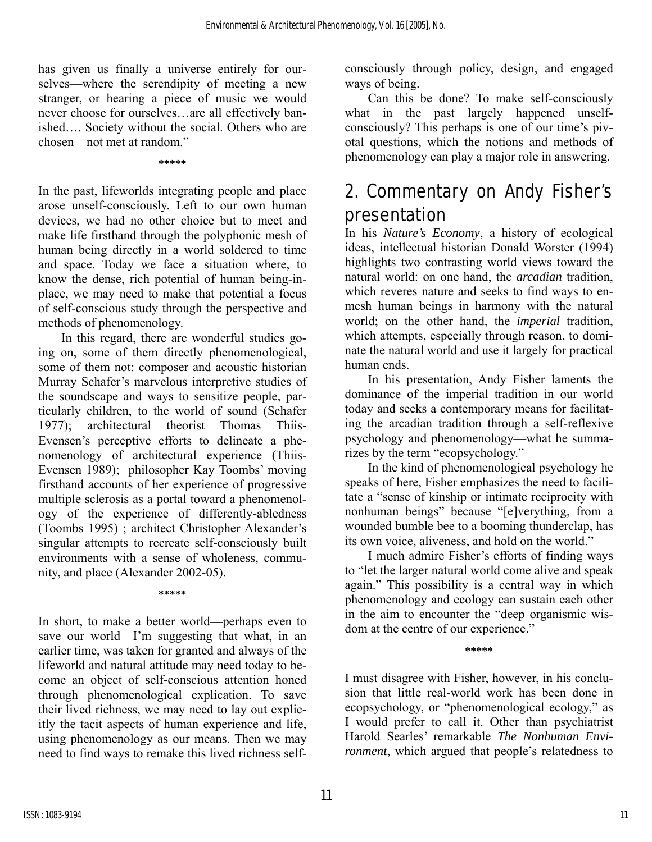has given us finally a universe entirely for ourselves—where the serendipity of meeting a new stranger, or hearing a piece of music we would never choose for ourselves…are all effectively banished…. Society without the social. Others who are chosen—not met at random."

**\*\*\*\*\*** 

In the past, lifeworlds integrating people and place arose unself-consciously. Left to our own human devices, we had no other choice but to meet and make life firsthand through the polyphonic mesh of human being directly in a world soldered to time and space. Today we face a situation where, to know the dense, rich potential of human being-inplace, we may need to make that potential a focus of self-conscious study through the perspective and methods of phenomenology.

In this regard, there are wonderful studies going on, some of them directly phenomenological, some of them not: composer and acoustic historian Murray Schafer's marvelous interpretive studies of the soundscape and ways to sensitize people, particularly children, to the world of sound (Schafer 1977); architectural theorist Thomas Thiis-Evensen's perceptive efforts to delineate a phenomenology of architectural experience (Thiis-Evensen 1989); philosopher Kay Toombs' moving firsthand accounts of her experience of progressive multiple sclerosis as a portal toward a phenomenology of the experience of differently-abledness (Toombs 1995) ; architect Christopher Alexander's singular attempts to recreate self-consciously built environments with a sense of wholeness, community, and place (Alexander 2002-05).

**\*\*\*\*\*** 

In short, to make a better world—perhaps even to save our world—I'm suggesting that what, in an earlier time, was taken for granted and always of the lifeworld and natural attitude may need today to become an object of self-conscious attention honed through phenomenological explication. To save their lived richness, we may need to lay out explicitly the tacit aspects of human experience and life, using phenomenology as our means. Then we may need to find ways to remake this lived richness selfconsciously through policy, design, and engaged ways of being.

Can this be done? To make self-consciously what in the past largely happened unselfconsciously? This perhaps is one of our time's pivotal questions, which the notions and methods of phenomenology can play a major role in answering.

## 2. Commentary on Andy Fisher's presentation

In his *Nature's Economy*, a history of ecological ideas, intellectual historian Donald Worster (1994) highlights two contrasting world views toward the natural world: on one hand, the *arcadian* tradition, which reveres nature and seeks to find ways to enmesh human beings in harmony with the natural world; on the other hand, the *imperial* tradition, which attempts, especially through reason, to dominate the natural world and use it largely for practical human ends.

In his presentation, Andy Fisher laments the dominance of the imperial tradition in our world today and seeks a contemporary means for facilitating the arcadian tradition through a self-reflexive psychology and phenomenology—what he summarizes by the term "ecopsychology."

In the kind of phenomenological psychology he speaks of here, Fisher emphasizes the need to facilitate a "sense of kinship or intimate reciprocity with nonhuman beings" because "[e]verything, from a wounded bumble bee to a booming thunderclap, has its own voice, aliveness, and hold on the world."

I much admire Fisher's efforts of finding ways to "let the larger natural world come alive and speak again." This possibility is a central way in which phenomenology and ecology can sustain each other in the aim to encounter the "deep organismic wisdom at the centre of our experience."

**\*\*\*\*\*** 

I must disagree with Fisher, however, in his conclusion that little real-world work has been done in ecopsychology, or "phenomenological ecology," as I would prefer to call it. Other than psychiatrist Harold Searles' remarkable *The Nonhuman Environment*, which argued that people's relatedness to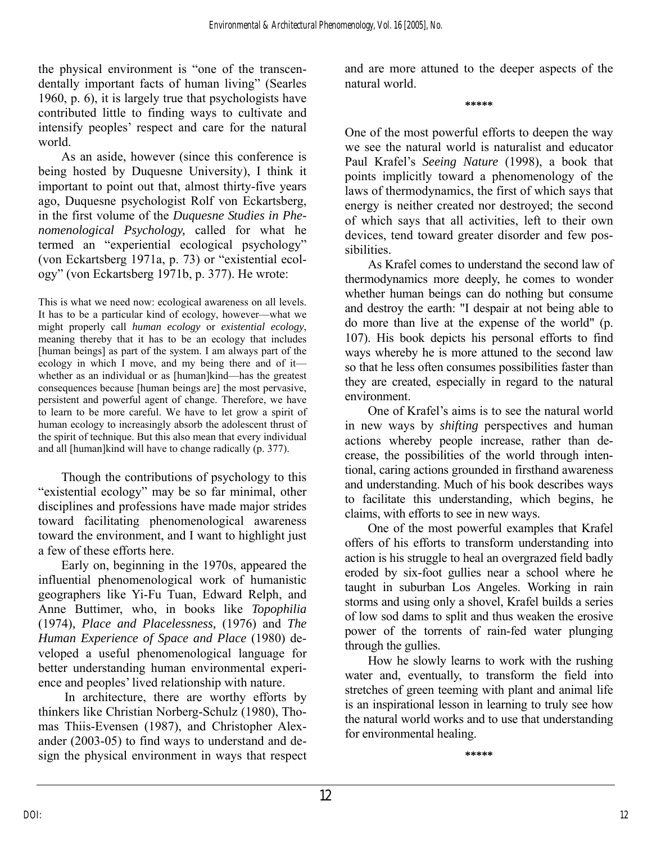the physical environment is "one of the transcendentally important facts of human living" (Searles 1960, p. 6), it is largely true that psychologists have contributed little to finding ways to cultivate and intensify peoples' respect and care for the natural world.

As an aside, however (since this conference is being hosted by Duquesne University), I think it important to point out that, almost thirty-five years ago, Duquesne psychologist Rolf von Eckartsberg, in the first volume of the *Duquesne Studies in Phenomenological Psychology,* called for what he termed an "experiential ecological psychology" (von Eckartsberg 1971a, p. 73) or "existential ecology" (von Eckartsberg 1971b, p. 377). He wrote:

This is what we need now: ecological awareness on all levels. It has to be a particular kind of ecology, however—what we might properly call *human ecology* or *existential ecology*, meaning thereby that it has to be an ecology that includes [human beings] as part of the system. I am always part of the ecology in which I move, and my being there and of it whether as an individual or as [human]kind—has the greatest consequences because [human beings are] the most pervasive, persistent and powerful agent of change. Therefore, we have to learn to be more careful. We have to let grow a spirit of human ecology to increasingly absorb the adolescent thrust of the spirit of technique. But this also mean that every individual and all [human]kind will have to change radically (p. 377).

Though the contributions of psychology to this "existential ecology" may be so far minimal, other disciplines and professions have made major strides toward facilitating phenomenological awareness toward the environment, and I want to highlight just a few of these efforts here.

Early on, beginning in the 1970s, appeared the influential phenomenological work of humanistic geographers like Yi-Fu Tuan, Edward Relph, and Anne Buttimer, who, in books like *Topophilia*  (1974)*, Place and Placelessness,* (1976) and *The Human Experience of Space and Place* (1980) developed a useful phenomenological language for better understanding human environmental experience and peoples' lived relationship with nature.

 In architecture, there are worthy efforts by thinkers like Christian Norberg-Schulz (1980), Thomas Thiis-Evensen (1987), and Christopher Alexander (2003-05) to find ways to understand and design the physical environment in ways that respect and are more attuned to the deeper aspects of the natural world.

**\*\*\*\*\*** 

One of the most powerful efforts to deepen the way we see the natural world is naturalist and educator Paul Krafel's *Seeing Nature* (1998), a book that points implicitly toward a phenomenology of the laws of thermodynamics, the first of which says that energy is neither created nor destroyed; the second of which says that all activities, left to their own devices, tend toward greater disorder and few possibilities.

As Krafel comes to understand the second law of thermodynamics more deeply, he comes to wonder whether human beings can do nothing but consume and destroy the earth: "I despair at not being able to do more than live at the expense of the world" (p. 107). His book depicts his personal efforts to find ways whereby he is more attuned to the second law so that he less often consumes possibilities faster than they are created, especially in regard to the natural environment.

One of Krafel's aims is to see the natural world in new ways by *shifting* perspectives and human actions whereby people increase, rather than decrease, the possibilities of the world through intentional, caring actions grounded in firsthand awareness and understanding. Much of his book describes ways to facilitate this understanding, which begins, he claims, with efforts to see in new ways.

One of the most powerful examples that Krafel offers of his efforts to transform understanding into action is his struggle to heal an overgrazed field badly eroded by six-foot gullies near a school where he taught in suburban Los Angeles. Working in rain storms and using only a shovel, Krafel builds a series of low sod dams to split and thus weaken the erosive power of the torrents of rain-fed water plunging through the gullies.

How he slowly learns to work with the rushing water and, eventually, to transform the field into stretches of green teeming with plant and animal life is an inspirational lesson in learning to truly see how the natural world works and to use that understanding for environmental healing.

**\*\*\*\*\***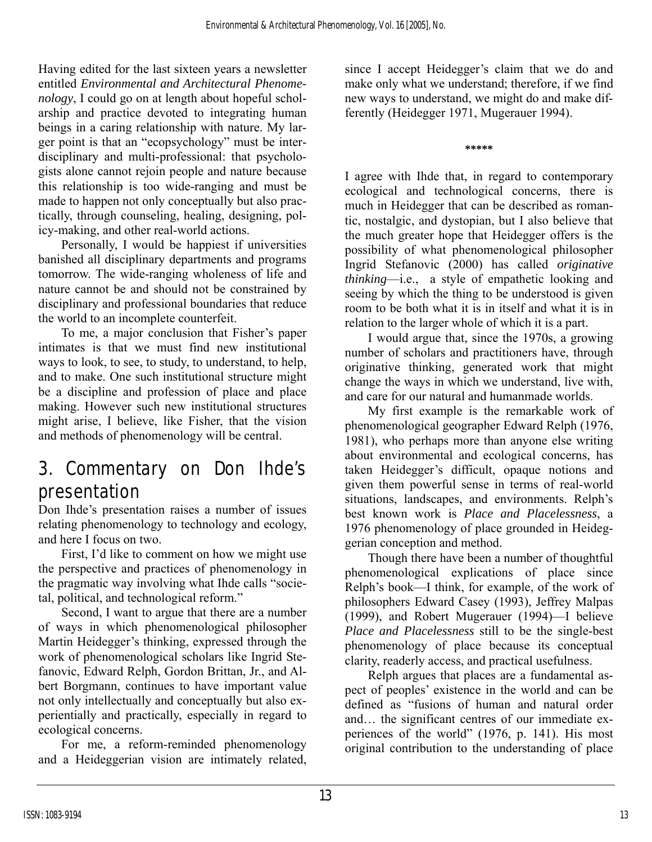Having edited for the last sixteen years a newsletter entitled *Environmental and Architectural Phenomenology*, I could go on at length about hopeful scholarship and practice devoted to integrating human beings in a caring relationship with nature. My larger point is that an "ecopsychology" must be interdisciplinary and multi-professional: that psychologists alone cannot rejoin people and nature because this relationship is too wide-ranging and must be made to happen not only conceptually but also practically, through counseling, healing, designing, policy-making, and other real-world actions.

Personally, I would be happiest if universities banished all disciplinary departments and programs tomorrow. The wide-ranging wholeness of life and nature cannot be and should not be constrained by disciplinary and professional boundaries that reduce the world to an incomplete counterfeit.

To me, a major conclusion that Fisher's paper intimates is that we must find new institutional ways to look, to see, to study, to understand, to help, and to make. One such institutional structure might be a discipline and profession of place and place making. However such new institutional structures might arise, I believe, like Fisher, that the vision and methods of phenomenology will be central.

## 3. Commentary on Don Ihde's presentation

Don Ihde's presentation raises a number of issues relating phenomenology to technology and ecology, and here I focus on two.

First, I'd like to comment on how we might use the perspective and practices of phenomenology in the pragmatic way involving what Ihde calls "societal, political, and technological reform."

Second, I want to argue that there are a number of ways in which phenomenological philosopher Martin Heidegger's thinking, expressed through the work of phenomenological scholars like Ingrid Stefanovic, Edward Relph, Gordon Brittan, Jr., and Albert Borgmann, continues to have important value not only intellectually and conceptually but also experientially and practically, especially in regard to ecological concerns.

For me, a reform-reminded phenomenology and a Heideggerian vision are intimately related, since I accept Heidegger's claim that we do and make only what we understand; therefore, if we find new ways to understand, we might do and make differently (Heidegger 1971, Mugerauer 1994).

**\*\*\*\*\*** 

I agree with Ihde that, in regard to contemporary ecological and technological concerns, there is much in Heidegger that can be described as romantic, nostalgic, and dystopian, but I also believe that the much greater hope that Heidegger offers is the possibility of what phenomenological philosopher Ingrid Stefanovic (2000) has called *originative thinking*—i.e., a style of empathetic looking and seeing by which the thing to be understood is given room to be both what it is in itself and what it is in relation to the larger whole of which it is a part.

I would argue that, since the 1970s, a growing number of scholars and practitioners have, through originative thinking, generated work that might change the ways in which we understand, live with, and care for our natural and humanmade worlds.

My first example is the remarkable work of phenomenological geographer Edward Relph (1976, 1981), who perhaps more than anyone else writing about environmental and ecological concerns, has taken Heidegger's difficult, opaque notions and given them powerful sense in terms of real-world situations, landscapes, and environments. Relph's best known work is *Place and Placelessness*, a 1976 phenomenology of place grounded in Heideggerian conception and method.

Though there have been a number of thoughtful phenomenological explications of place since Relph's book—I think, for example, of the work of philosophers Edward Casey (1993), Jeffrey Malpas (1999), and Robert Mugerauer (1994)—I believe *Place and Placelessness* still to be the single-best phenomenology of place because its conceptual clarity, readerly access, and practical usefulness.

Relph argues that places are a fundamental aspect of peoples' existence in the world and can be defined as "fusions of human and natural order and… the significant centres of our immediate experiences of the world" (1976, p. 141). His most original contribution to the understanding of place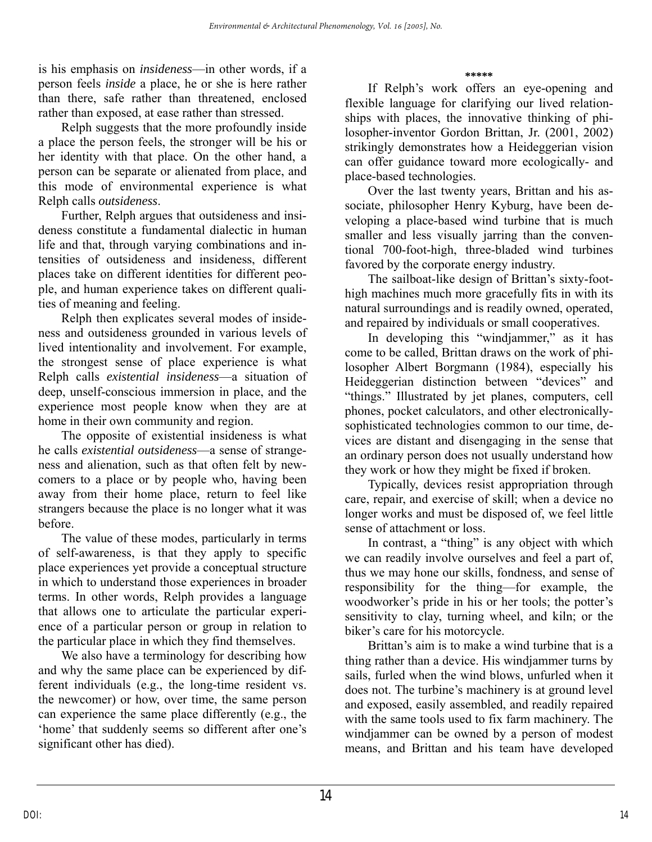is his emphasis on *insideness*—in other words, if a person feels *inside* a place, he or she is here rather than there, safe rather than threatened, enclosed rather than exposed, at ease rather than stressed.

Relph suggests that the more profoundly inside a place the person feels, the stronger will be his or her identity with that place. On the other hand, a person can be separate or alienated from place, and this mode of environmental experience is what Relph calls *outsideness*.

Further, Relph argues that outsideness and insideness constitute a fundamental dialectic in human life and that, through varying combinations and intensities of outsideness and insideness, different places take on different identities for different people, and human experience takes on different qualities of meaning and feeling.

Relph then explicates several modes of insideness and outsideness grounded in various levels of lived intentionality and involvement. For example, the strongest sense of place experience is what Relph calls *existential insideness*—a situation of deep, unself-conscious immersion in place, and the experience most people know when they are at home in their own community and region.

The opposite of existential insideness is what he calls *existential outsideness*—a sense of strangeness and alienation, such as that often felt by newcomers to a place or by people who, having been away from their home place, return to feel like strangers because the place is no longer what it was before.

The value of these modes, particularly in terms of self-awareness, is that they apply to specific place experiences yet provide a conceptual structure in which to understand those experiences in broader terms. In other words, Relph provides a language that allows one to articulate the particular experience of a particular person or group in relation to the particular place in which they find themselves.

We also have a terminology for describing how and why the same place can be experienced by different individuals (e.g., the long-time resident vs. the newcomer) or how, over time, the same person can experience the same place differently (e.g., the 'home' that suddenly seems so different after one's significant other has died).

**\*\*\*\*\*** 

If Relph's work offers an eye-opening and flexible language for clarifying our lived relationships with places, the innovative thinking of philosopher-inventor Gordon Brittan, Jr. (2001, 2002) strikingly demonstrates how a Heideggerian vision can offer guidance toward more ecologically- and place-based technologies.

Over the last twenty years, Brittan and his associate, philosopher Henry Kyburg, have been developing a place-based wind turbine that is much smaller and less visually jarring than the conventional 700-foot-high, three-bladed wind turbines favored by the corporate energy industry.

The sailboat-like design of Brittan's sixty-foothigh machines much more gracefully fits in with its natural surroundings and is readily owned, operated, and repaired by individuals or small cooperatives.

In developing this "windjammer," as it has come to be called, Brittan draws on the work of philosopher Albert Borgmann (1984), especially his Heideggerian distinction between "devices" and "things." Illustrated by jet planes, computers, cell phones, pocket calculators, and other electronicallysophisticated technologies common to our time, devices are distant and disengaging in the sense that an ordinary person does not usually understand how they work or how they might be fixed if broken.

Typically, devices resist appropriation through care, repair, and exercise of skill; when a device no longer works and must be disposed of, we feel little sense of attachment or loss.

In contrast, a "thing" is any object with which we can readily involve ourselves and feel a part of, thus we may hone our skills, fondness, and sense of responsibility for the thing—for example, the woodworker's pride in his or her tools; the potter's sensitivity to clay, turning wheel, and kiln; or the biker's care for his motorcycle.

Brittan's aim is to make a wind turbine that is a thing rather than a device. His windjammer turns by sails, furled when the wind blows, unfurled when it does not. The turbine's machinery is at ground level and exposed, easily assembled, and readily repaired with the same tools used to fix farm machinery. The windjammer can be owned by a person of modest means, and Brittan and his team have developed